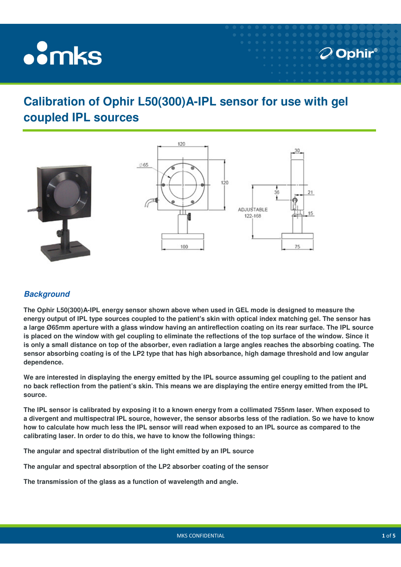# **oomks**

# **Calibration of Ophir L50(300)A-IPL sensor for use with gel coupled IPL sources**



### **Background**

**The Ophir L50(300)A-IPL energy sensor shown above when used in GEL mode is designed to measure the energy output of IPL type sources coupled to the patient's skin with optical index matching gel. The sensor has a large Ø65mm aperture with a glass window having an antireflection coating on its rear surface. The IPL source is placed on the window with gel coupling to eliminate the reflections of the top surface of the window. Since it is only a small distance on top of the absorber, even radiation a large angles reaches the absorbing coating. The sensor absorbing coating is of the LP2 type that has high absorbance, high damage threshold and low angular dependence.** 

**We are interested in displaying the energy emitted by the IPL source assuming gel coupling to the patient and no back reflection from the patient's skin. This means we are displaying the entire energy emitted from the IPL source.** 

**The IPL sensor is calibrated by exposing it to a known energy from a collimated 755nm laser. When exposed to a divergent and multispectral IPL source, however, the sensor absorbs less of the radiation. So we have to know how to calculate how much less the IPL sensor will read when exposed to an IPL source as compared to the calibrating laser. In order to do this, we have to know the following things:** 

**The angular and spectral distribution of the light emitted by an IPL source** 

**The angular and spectral absorption of the LP2 absorber coating of the sensor** 

**The transmission of the glass as a function of wavelength and angle.** 

 $\mathcal O$  Ophir $^\circ$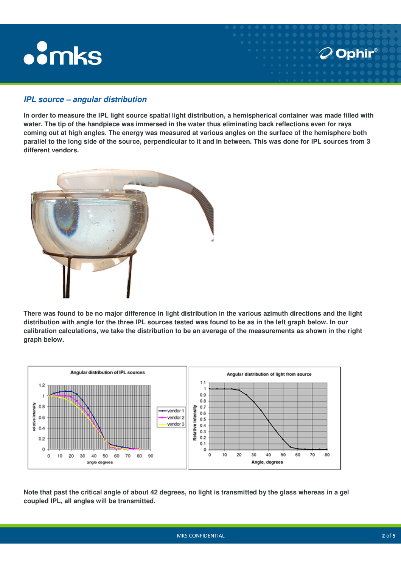# **.** mks

#### **IPL source – angular distribution**

**In order to measure the IPL light source spatial light distribution, a hemispherical container was made filled with water. The tip of the handpiece was immersed in the water thus eliminating back reflections even for rays coming out at high angles. The energy was measured at various angles on the surface of the hemisphere both parallel to the long side of the source, perpendicular to it and in between. This was done for IPL sources from 3 different vendors.** 



**There was found to be no major difference in light distribution in the various azimuth directions and the light distribution with angle for the three IPL sources tested was found to be as in the left graph below. In our calibration calculations, we take the distribution to be an average of the measurements as shown in the right graph below.** 



**Note that past the critical angle of about 42 degrees, no light is transmitted by the glass whereas in a gel coupled IPL, all angles will be transmitted.** 

 $\mathcal{D}$  Ophir $^{\circ}$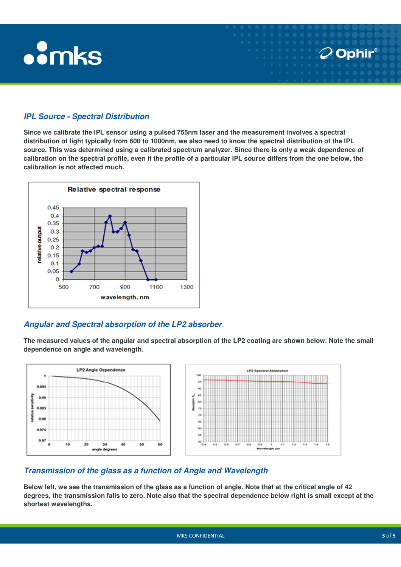# **oomks**

## **IPL Source - Spectral Distribution**

**Since we calibrate the IPL sensor using a pulsed 755nm laser and the measurement involves a spectral distribution of light typically from 600 to 1000nm, we also need to know the spectral distribution of the IPL source. This was determined using a calibrated spectrum analyzer. Since there is only a weak dependence of calibration on the spectral profile, even if the profile of a particular IPL source differs from the one below, the calibration is not affected much.** 



### **Angular and Spectral absorption of the LP2 absorber**

**The measured values of the angular and spectral absorption of the LP2 coating are shown below. Note the small dependence on angle and wavelength.** 



#### **Transmission of the glass as a function of Angle and Wavelength**

**Below left, we see the transmission of the glass as a function of angle. Note that at the critical angle of 42 degrees, the transmission falls to zero. Note also that the spectral dependence below right is small except at the shortest wavelengths.** 

**O** Ophir®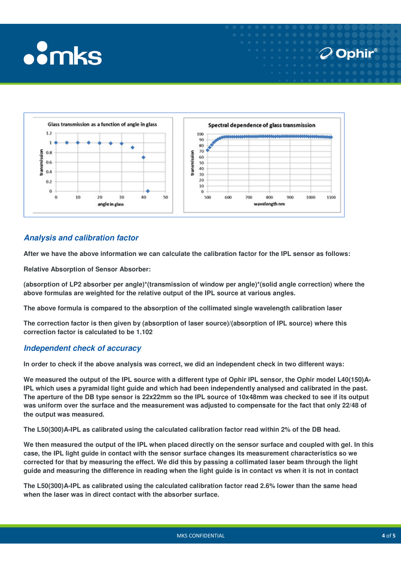



### **Analysis and calibration factor**

**After we have the above information we can calculate the calibration factor for the IPL sensor as follows:** 

**Relative Absorption of Sensor Absorber:** 

**(absorption of LP2 absorber per angle)\*(transmission of window per angle)\*(solid angle correction) where the above formulas are weighted for the relative output of the IPL source at various angles.** 

**The above formula is compared to the absorption of the collimated single wavelength calibration laser** 

**The correction factor is then given by (absorption of laser source)/(absorption of IPL source) where this correction factor is calculated to be 1.102** 

#### **Independent check of accuracy**

**In order to check if the above analysis was correct, we did an independent check in two different ways:** 

We measured the output of the IPL source with a different type of Ophir IPL sensor, the Ophir model L40(150)A-**IPL which uses a pyramidal light guide and which had been independently analysed and calibrated in the past. The aperture of the DB type sensor is 22x22mm so the IPL source of 10x48mm was checked to see if its output was uniform over the surface and the measurement was adjusted to compensate for the fact that only 22/48 of the output was measured.** 

**The L50(300)A-IPL as calibrated using the calculated calibration factor read within 2% of the DB head.**

**We then measured the output of the IPL when placed directly on the sensor surface and coupled with gel. In this case, the IPL light guide in contact with the sensor surface changes its measurement characteristics so we corrected for that by measuring the effect. We did this by passing a collimated laser beam through the light guide and measuring the difference in reading when the light guide is in contact vs when it is not in contact** 

**The L50(300)A-IPL as calibrated using the calculated calibration factor read 2.6% lower than the same head when the laser was in direct contact with the absorber surface.** 

 $\mathcal{O}$  Ophir $^{\circ}$